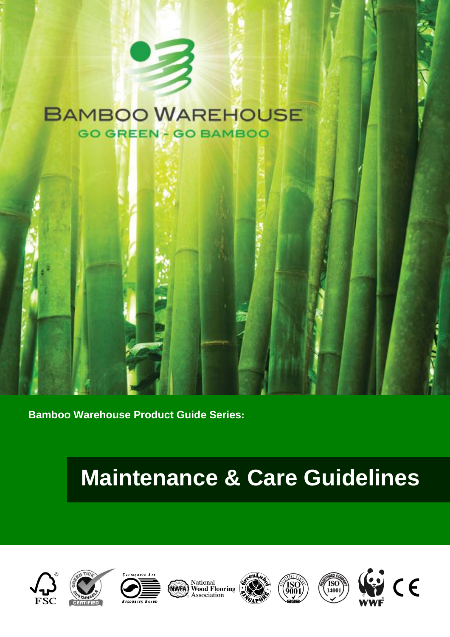### **BAMBOO WAREHOUSE GO GREEN - GO BAMBOO**



# **Maintenance & Care Guidelines**







National<br>Wood Flooring<br>Association